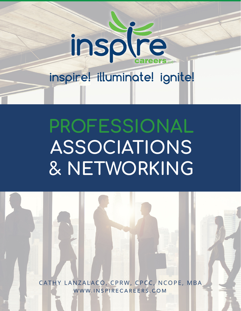

## **PROFESSIONAL ASSOCIATIONS & NETWORKING**

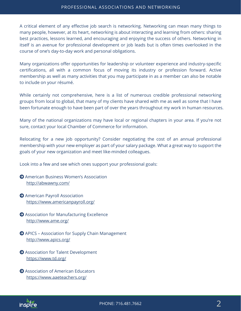## PROFESSIONAL ASSOCIATIONS AND NETWORKING

A critical element of any effective job search is networking. Networking can mean many things to many people, however, at its heart, networking is about interacting and learning from others: sharing best practices, lessons learned, and encouraging and enjoying the success of others. Networking in itself is an avenue for professional development or job leads but is often times overlooked in the course of one's day-to-day work and personal obligations.

Many organizations offer opportunities for leadership or volunteer experience and industry-specific certifications, all with a common focus of moving its industry or profession forward. Active membership as well as many activities that you may participate in as a member can also be notable to include on your résumé.

While certainly not comprehensive, here is a list of numerous credible professional networking groups from local to global, that many of my clients have shared with me as well as some that I have been fortunate enough to have been part of over the years throughout my work in human resources.

Many of the national organizations may have local or regional chapters in your area. If you're not sure, contact your local Chamber of Commerce for information.

Relocating for a new job opportunity? Consider negotiating the cost of an annual professional membership with your new employer as part of your salary package. What a great way to support the goals of your new organization and meet like-minded colleagues.

Look into a few and see which ones support your professional goals:

- American Business Women's Association http://abwawny.com/
- American Payroll Association https://www.americanpayroll.org/
- Association for Manufacturing Excellence http://www.ame.org/
- APICS Association for Supply Chain Management http://www.apics.org/
- Association for Talent Development https://www.td.org/
- **Association of American Educators** https://www.aaeteachers.org/

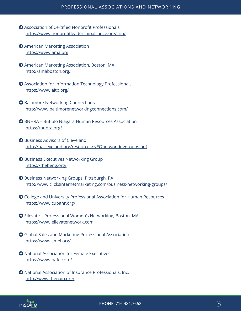- Association of Certified Nonprofit Professionals https://www.nonprofitleadershipalliance.org/cnp/
- American Marketing Association https://www.ama.org
- American Marketing Association, Boston, MA http://amaboston.org/
- Association for Information Technology Professionals https://www.aitp.org/
- $\Theta$  Baltimore Networking Connections http://www.baltimorenetworkingconnections.com/
- BNHRA Buffalo Niagara Human Resources Association https://bnhra.org/
- **Business Advisors of Cleveland** http://bacleveland.org/resources/NEOnetworkinggroups.pdf
- $\Theta$  Business Executives Networking Group https://thebeng.org/
- Business Networking Groups, Pittsburgh, PA http://www.clicksinternetmarketing.com/business-networking-groups/
- College and University Professional Association for Human Resources https://www.cupahr.org/
- Ellevate Professional Women's Networking, Boston, MA https://www.ellevatenetwork.com
- Global Sales and Marketing Professional Association https://www.smei.org/
- National Association for Female Executives https://www.nafe.com/
- National Association of Insurance Professionals, Inc. http://www.thenaip.org/